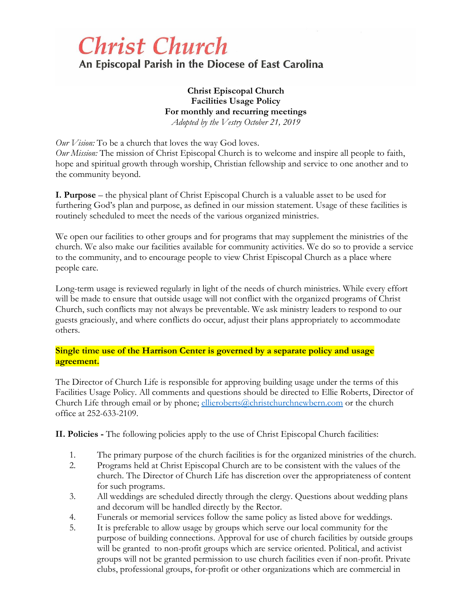# **Christ Church**

An Episcopal Parish in the Diocese of East Carolina

**Christ Episcopal Church Facilities Usage Policy For monthly and recurring meetings** *Adopted by the Vestry October 21, 2019*

*Our Vision:* To be a church that loves the way God loves. *Our Mission:* The mission of Christ Episcopal Church is to welcome and inspire all people to faith, hope and spiritual growth through worship, Christian fellowship and service to one another and to the community beyond.

**I. Purpose** – the physical plant of Christ Episcopal Church is a valuable asset to be used for furthering God's plan and purpose, as defined in our mission statement. Usage of these facilities is routinely scheduled to meet the needs of the various organized ministries.

We open our facilities to other groups and for programs that may supplement the ministries of the church. We also make our facilities available for community activities. We do so to provide a service to the community, and to encourage people to view Christ Episcopal Church as a place where people care.

Long-term usage is reviewed regularly in light of the needs of church ministries. While every effort will be made to ensure that outside usage will not conflict with the organized programs of Christ Church, such conflicts may not always be preventable. We ask ministry leaders to respond to our guests graciously, and where conflicts do occur, adjust their plans appropriately to accommodate others.

**Single time use of the Harrison Center is governed by a separate policy and usage agreement.**

The Director of Church Life is responsible for approving building usage under the terms of this Facilities Usage Policy. All comments and questions should be directed to Ellie Roberts, Director of Church Life through email or by phone; [ellieroberts@christchurchnewbern.com](mailto:ellieroberts@christchurchnewbern.com) or the church office at 252-633-2109.

**II. Policies -** The following policies apply to the use of Christ Episcopal Church facilities:

- 1. The primary purpose of the church facilities is for the organized ministries of the church.
- 2. Programs held at Christ Episcopal Church are to be consistent with the values of the church. The Director of Church Life has discretion over the appropriateness of content for such programs.
- 3. All weddings are scheduled directly through the clergy. Questions about wedding plans and decorum will be handled directly by the Rector.
- 4. Funerals or memorial services follow the same policy as listed above for weddings.
- 5. It is preferable to allow usage by groups which serve our local community for the purpose of building connections. Approval for use of church facilities by outside groups will be granted to non-profit groups which are service oriented. Political, and activist groups will not be granted permission to use church facilities even if non-profit. Private clubs, professional groups, for-profit or other organizations which are commercial in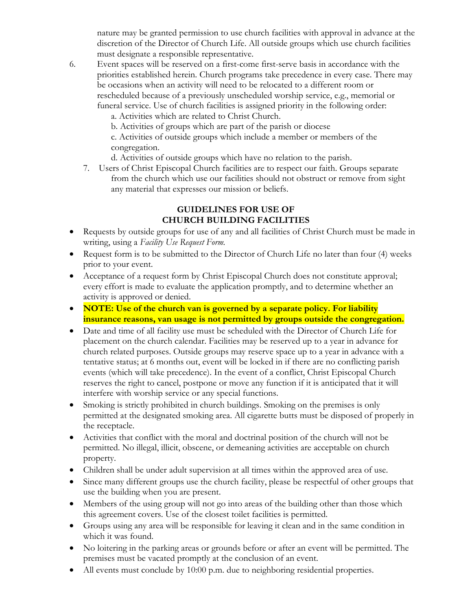nature may be granted permission to use church facilities with approval in advance at the discretion of the Director of Church Life. All outside groups which use church facilities must designate a responsible representative.

6. Event spaces will be reserved on a first-come first-serve basis in accordance with the priorities established herein. Church programs take precedence in every case. There may be occasions when an activity will need to be relocated to a different room or rescheduled because of a previously unscheduled worship service, e.g., memorial or funeral service. Use of church facilities is assigned priority in the following order:

a. Activities which are related to Christ Church.

b. Activities of groups which are part of the parish or diocese

c. Activities of outside groups which include a member or members of the congregation.

d. Activities of outside groups which have no relation to the parish.

7. Users of Christ Episcopal Church facilities are to respect our faith. Groups separate from the church which use our facilities should not obstruct or remove from sight any material that expresses our mission or beliefs.

# **GUIDELINES FOR USE OF CHURCH BUILDING FACILITIES**

- Requests by outside groups for use of any and all facilities of Christ Church must be made in writing, using a *Facility Use Request Form.*
- Request form is to be submitted to the Director of Church Life no later than four (4) weeks prior to your event.
- Acceptance of a request form by Christ Episcopal Church does not constitute approval; every effort is made to evaluate the application promptly, and to determine whether an activity is approved or denied.
- **NOTE: Use of the church van is governed by a separate policy. For liability insurance reasons, van usage is not permitted by groups outside the congregation.**
- Date and time of all facility use must be scheduled with the Director of Church Life for placement on the church calendar. Facilities may be reserved up to a year in advance for church related purposes. Outside groups may reserve space up to a year in advance with a tentative status; at 6 months out, event will be locked in if there are no conflicting parish events (which will take precedence). In the event of a conflict, Christ Episcopal Church reserves the right to cancel, postpone or move any function if it is anticipated that it will interfere with worship service or any special functions.
- Smoking is strictly prohibited in church buildings. Smoking on the premises is only permitted at the designated smoking area. All cigarette butts must be disposed of properly in the receptacle.
- Activities that conflict with the moral and doctrinal position of the church will not be permitted. No illegal, illicit, obscene, or demeaning activities are acceptable on church property.
- Children shall be under adult supervision at all times within the approved area of use.
- Since many different groups use the church facility, please be respectful of other groups that use the building when you are present.
- Members of the using group will not go into areas of the building other than those which this agreement covers. Use of the closest toilet facilities is permitted.
- Groups using any area will be responsible for leaving it clean and in the same condition in which it was found.
- No loitering in the parking areas or grounds before or after an event will be permitted. The premises must be vacated promptly at the conclusion of an event.
- All events must conclude by 10:00 p.m. due to neighboring residential properties.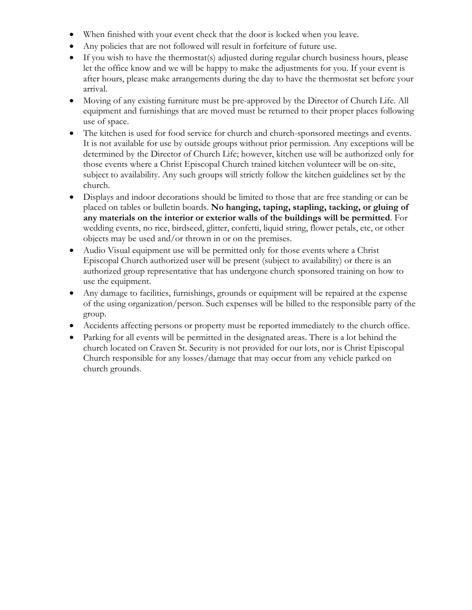- When finished with your event check that the door is locked when you leave.
- Any policies that are not followed will result in forfeiture of future use.
- If you wish to have the thermostat(s) adjusted during regular church business hours, please let the office know and we will be happy to make the adjustments for you. If your event is after hours, please make arrangements during the day to have the thermostat set before your arrival.
- Moving of any existing furniture must be pre-approved by the Director of Church Life. All equipment and furnishings that are moved must be returned to their proper places following use of space.
- The kitchen is used for food service for church and church-sponsored meetings and events. It is not available for use by outside groups without prior permission. Any exceptions will be determined by the Director of Church Life; however, kitchen use will be authorized only for those events where a Christ Episcopal Church trained kitchen volunteer will be on-site, subject to availability. Any such groups will strictly follow the kitchen guidelines set by the church.
- Displays and indoor decorations should be limited to those that are free standing or can be placed on tables or bulletin boards. **No hanging, taping, stapling, tacking, or gluing of any materials on the interior or exterior walls of the buildings will be permitted**. For wedding events, no rice, birdseed, glitter, confetti, liquid string, flower petals, etc, or other objects may be used and/or thrown in or on the premises.
- Audio Visual equipment use will be permitted only for those events where a Christ Episcopal Church authorized user will be present (subject to availability) or there is an authorized group representative that has undergone church sponsored training on how to use the equipment.
- Any damage to facilities, furnishings, grounds or equipment will be repaired at the expense of the using organization/person. Such expenses will be billed to the responsible party of the group.
- Accidents affecting persons or property must be reported immediately to the church office.
- Parking for all events will be permitted in the designated areas. There is a lot behind the church located on Craven St. Security is not provided for our lots, nor is Christ Episcopal Church responsible for any losses/damage that may occur from any vehicle parked on church grounds.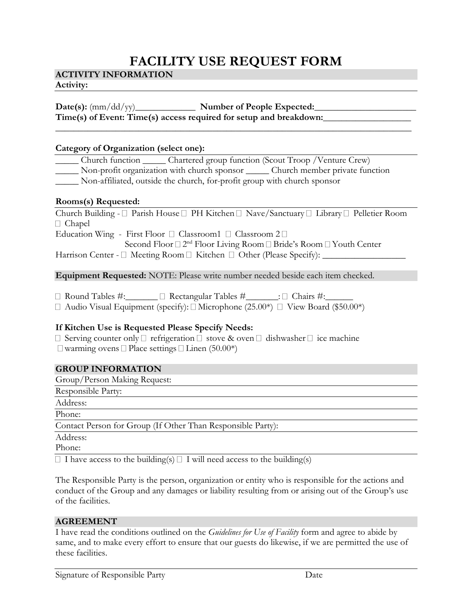# **FACILITY USE REQUEST FORM**

**\_\_\_\_\_\_\_\_\_\_\_\_\_\_\_\_\_\_\_\_\_\_\_\_\_\_\_\_\_\_\_\_\_\_\_\_\_\_\_\_\_\_\_\_\_\_\_\_\_\_\_\_\_\_\_\_\_\_\_\_\_\_\_\_\_\_\_\_\_\_\_\_\_\_\_\_\_**

### **ACTIVITY INFORMATION**

#### **Activity:**

# **Date(s):** (mm/dd/yy)\_\_\_\_\_\_\_\_\_\_\_\_\_ **Number of People Expected:\_\_\_\_\_\_\_\_\_\_\_\_\_\_\_\_\_\_\_\_\_\_ Time(s) of Event: Time(s) access required for setup and breakdown:\_\_\_\_\_\_\_\_\_\_\_\_\_\_\_\_\_\_\_**

#### **Category of Organization (select one):**

\_\_\_\_\_ Church function \_\_\_\_\_ Chartered group function (Scout Troop /Venture Crew) Non-profit organization with church sponsor Church member private function \_\_\_\_\_ Non-affiliated, outside the church, for-profit group with church sponsor

#### **Rooms(s) Requested:**

Church Building -  $\Box$  Parish House  $\Box$  PH Kitchen  $\Box$  Nave/Sanctuary  $\Box$  Library  $\Box$  Pelletier Room □ Chapel

Education Wing - First Floor  $\Box$  Classroom1  $\Box$  Classroom 2  $\Box$ 

Second Floor □ 2<sup>nd</sup> Floor Living Room □ Bride's Room □ Youth Center Harrison Center - Meeting Room Kitchen Other (Please Specify): \_\_\_\_\_\_\_\_\_\_\_\_\_\_\_\_\_\_

**Equipment Requested:** NOTE: Please write number needed beside each item checked.

 $\Box$  Round Tables #:  $\Box$  Rectangular Tables #  $\Box$  Chairs #:

 $\Box$  Audio Visual Equipment (specify):  $\Box$  Microphone (25.00\*)  $\Box$  View Board (\$50.00\*)

### **If Kitchen Use is Requested Please Specify Needs:**

 $\Box$  Serving counter only  $\Box$  refrigeration  $\Box$  stove & oven  $\Box$  dishwasher  $\Box$  ice machine  $\Box$  warming ovens  $\Box$  Place settings  $\Box$  Linen (50.00\*)

#### **GROUP INFORMATION**

Group/Person Making Request:

Responsible Party: Address: Phone: Contact Person for Group (If Other Than Responsible Party): Address:

Phone:

 $\Box$  I have access to the building(s)  $\Box$  I will need access to the building(s)

The Responsible Party is the person, organization or entity who is responsible for the actions and conduct of the Group and any damages or liability resulting from or arising out of the Group's use of the facilities.

### **AGREEMENT**

I have read the conditions outlined on the *Guidelines for Use of Facility* form and agree to abide by same, and to make every effort to ensure that our guests do likewise, if we are permitted the use of these facilities.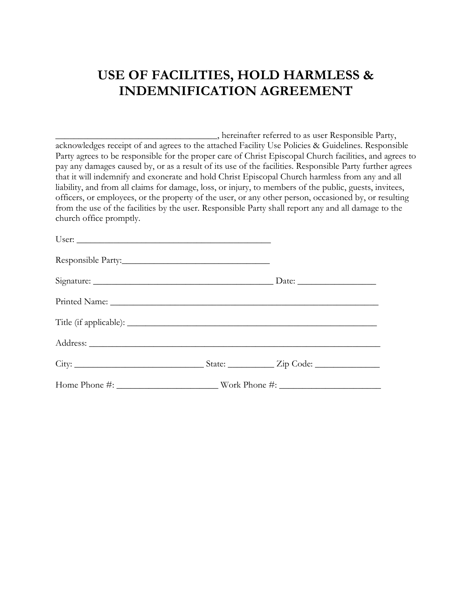# **USE OF FACILITIES, HOLD HARMLESS & INDEMNIFICATION AGREEMENT**

\_\_\_\_\_\_\_\_\_\_\_\_\_\_\_\_\_\_\_\_\_\_\_\_\_\_\_\_\_\_\_\_\_\_\_, hereinafter referred to as user Responsible Party, acknowledges receipt of and agrees to the attached Facility Use Policies & Guidelines. Responsible Party agrees to be responsible for the proper care of Christ Episcopal Church facilities, and agrees to pay any damages caused by, or as a result of its use of the facilities. Responsible Party further agrees that it will indemnify and exonerate and hold Christ Episcopal Church harmless from any and all liability, and from all claims for damage, loss, or injury, to members of the public, guests, invitees, officers, or employees, or the property of the user, or any other person, occasioned by, or resulting from the use of the facilities by the user. Responsible Party shall report any and all damage to the church office promptly.

| Home Phone #: Work Phone #: |  |
|-----------------------------|--|